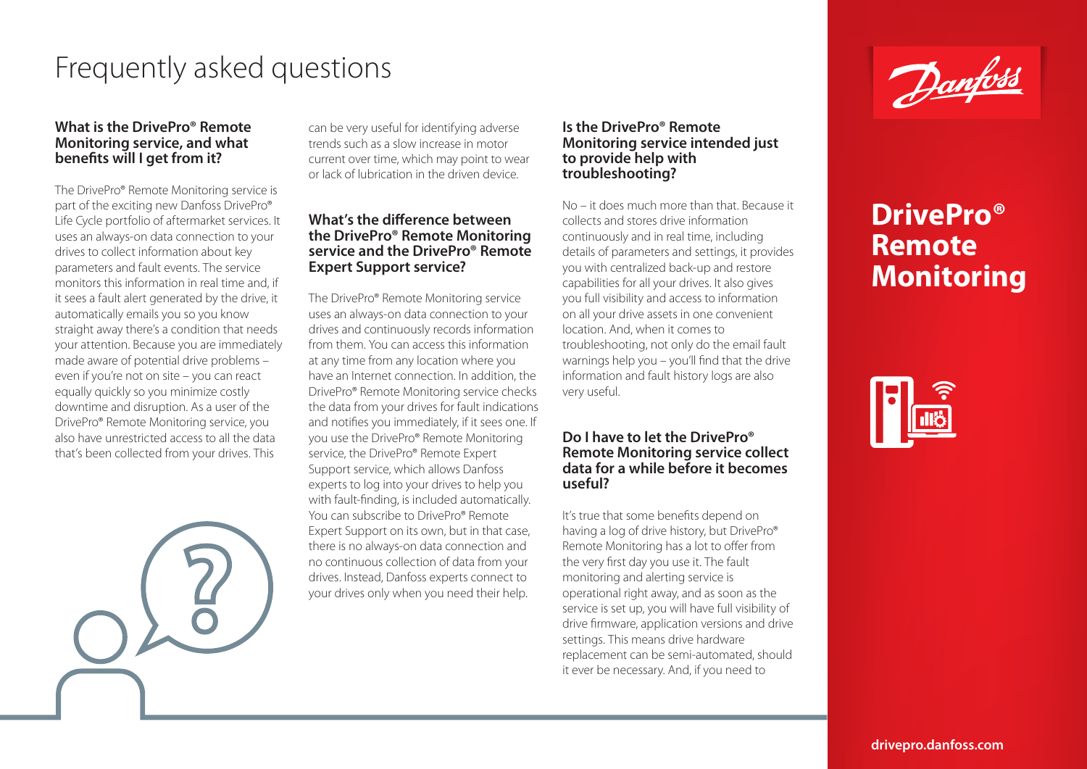# Frequently asked questions

#### **What is the DrivePro® Remote Monitoring service, and what benefits will I get from it?**

The DrivePro® Remote Monitoring service is part of the exciting new Danfoss DrivePro® Life Cycle portfolio of aftermarket services. It uses an always-on data connection to your drives to collect information about key parameters and fault events. The service monitors this information in real time and, if it sees a fault alert generated by the drive, it automatically emails you so you know straight away there's a condition that needs your attention. Because you are immediately made aware of potential drive problems – even if you're not on site – you can react equally quickly so you minimize costly downtime and disruption. As a user of the DrivePro® Remote Monitoring service, you also have unrestricted access to all the data that's been collected from your drives. This

can be very useful for identifying adverse trends such as a slow increase in motor current over time, which may point to wear or lack of lubrication in the driven device.

### **What's the difference between the DrivePro® Remote Monitoring service and the DrivePro® Remote Expert Support service?**

The DrivePro® Remote Monitoring service uses an always-on data connection to your drives and continuously records information from them. You can access this information at any time from any location where you have an Internet connection. In addition, the DrivePro® Remote Monitoring service checks the data from your drives for fault indications and notifies you immediately, if it sees one. If you use the DrivePro® Remote Monitoring service, the DrivePro® Remote Expert Support service, which allows Danfoss experts to log into your drives to help you with fault-finding, is included automatically. You can subscribe to DrivePro® Remote Expert Support on its own, but in that case, there is no always-on data connection and no continuous collection of data from your drives. Instead, Danfoss experts connect to your drives only when you need their help.

#### **Is the DrivePro® Remote Monitoring service intended just to provide help with troubleshooting?**

No – it does much more than that. Because it collects and stores drive information continuously and in real time, including details of parameters and settings, it provides you with centralized back-up and restore capabilities for all your drives. It also gives you full visibility and access to information on all your drive assets in one convenient location. And, when it comes to troubleshooting, not only do the email fault warnings help you – you'll find that the drive information and fault history logs are also very useful.

### **Do I have to let the DrivePro® Remote Monitoring service collect data for a while before it becomes useful?**

It's true that some benefits depend on having a log of drive history, but DrivePro® Remote Monitoring has a lot to offer from the very first day you use it. The fault monitoring and alerting service is operational right away, and as soon as the service is set up, you will have full visibility of drive firmware, application versions and drive settings. This means drive hardware replacement can be semi-automated, should it ever be necessary. And, if you need to



# **DrivePro® Remote Monitoring**